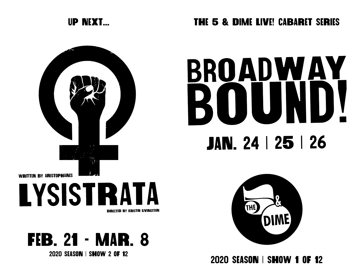

## UP NEXT... THE 5 & DIME LIVE! CABARET SERIES

## BROADWAY BOUN JAN. 24 | 25 | 26



**2020 SEASON | SHOW 2 OF 12 2020 SEASON | SHOW 1 OF 12** 



**LYSISTRATA** DIRECTED BY KRISTIN LIVINGTSON

FEB. 21 - MAR. 8